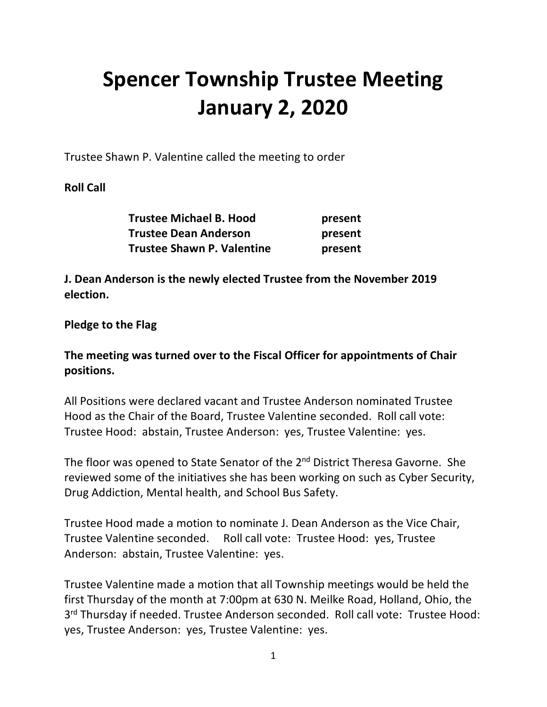# **Spencer Township Trustee Meeting January 2, 2020**

Trustee Shawn P. Valentine called the meeting to order

## **Roll Call**

| <b>Trustee Michael B. Hood</b>    | present |
|-----------------------------------|---------|
| <b>Trustee Dean Anderson</b>      | present |
| <b>Trustee Shawn P. Valentine</b> | present |

**J. Dean Anderson is the newly elected Trustee from the November 2019 election.** 

#### **Pledge to the Flag**

## **The meeting was turned over to the Fiscal Officer for appointments of Chair positions.**

All Positions were declared vacant and Trustee Anderson nominated Trustee Hood as the Chair of the Board, Trustee Valentine seconded. Roll call vote: Trustee Hood: abstain, Trustee Anderson: yes, Trustee Valentine: yes.

The floor was opened to State Senator of the 2<sup>nd</sup> District Theresa Gavorne. She reviewed some of the initiatives she has been working on such as Cyber Security, Drug Addiction, Mental health, and School Bus Safety.

Trustee Hood made a motion to nominate J. Dean Anderson as the Vice Chair, Trustee Valentine seconded. Roll call vote: Trustee Hood: yes, Trustee Anderson: abstain, Trustee Valentine: yes.

Trustee Valentine made a motion that all Township meetings would be held the first Thursday of the month at 7:00pm at 630 N. Meilke Road, Holland, Ohio, the 3<sup>rd</sup> Thursday if needed. Trustee Anderson seconded. Roll call vote: Trustee Hood: yes, Trustee Anderson: yes, Trustee Valentine: yes.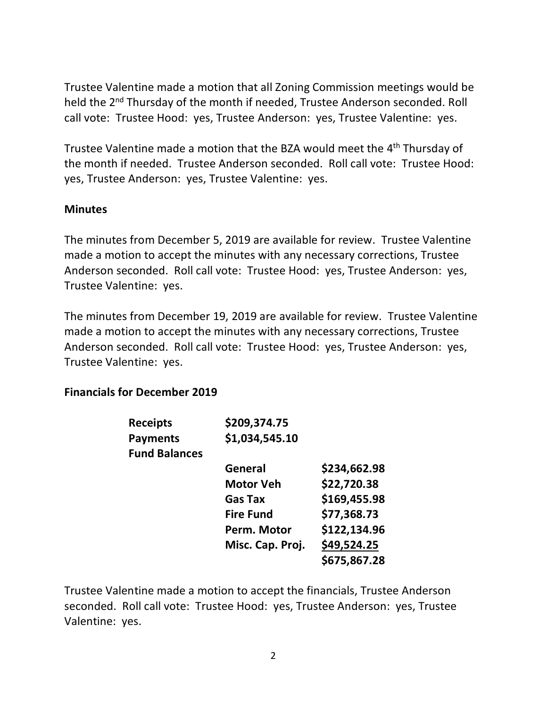Trustee Valentine made a motion that all Zoning Commission meetings would be held the 2<sup>nd</sup> Thursday of the month if needed, Trustee Anderson seconded. Roll call vote: Trustee Hood: yes, Trustee Anderson: yes, Trustee Valentine: yes.

Trustee Valentine made a motion that the BZA would meet the 4<sup>th</sup> Thursday of the month if needed. Trustee Anderson seconded. Roll call vote: Trustee Hood: yes, Trustee Anderson: yes, Trustee Valentine: yes.

#### **Minutes**

The minutes from December 5, 2019 are available for review. Trustee Valentine made a motion to accept the minutes with any necessary corrections, Trustee Anderson seconded. Roll call vote: Trustee Hood: yes, Trustee Anderson: yes, Trustee Valentine: yes.

The minutes from December 19, 2019 are available for review. Trustee Valentine made a motion to accept the minutes with any necessary corrections, Trustee Anderson seconded. Roll call vote: Trustee Hood: yes, Trustee Anderson: yes, Trustee Valentine: yes.

#### **Financials for December 2019**

| <b>Receipts</b>      | \$209,374.75     |              |
|----------------------|------------------|--------------|
| <b>Payments</b>      | \$1,034,545.10   |              |
| <b>Fund Balances</b> |                  |              |
|                      | General          | \$234,662.98 |
|                      | <b>Motor Veh</b> | \$22,720.38  |
|                      | <b>Gas Tax</b>   | \$169,455.98 |
|                      | <b>Fire Fund</b> | \$77,368.73  |
|                      | Perm. Motor      | \$122,134.96 |
|                      | Misc. Cap. Proj. | \$49,524.25  |
|                      |                  | \$675,867.28 |

Trustee Valentine made a motion to accept the financials, Trustee Anderson seconded. Roll call vote: Trustee Hood: yes, Trustee Anderson: yes, Trustee Valentine: yes.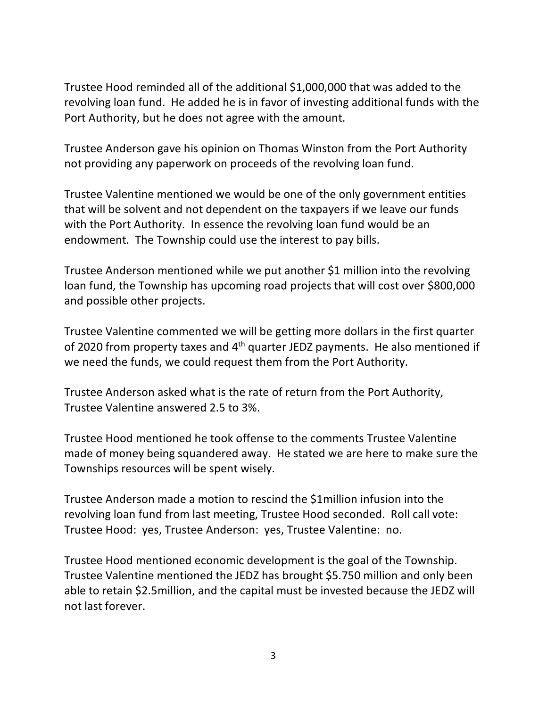Trustee Hood reminded all of the additional \$1,000,000 that was added to the revolving loan fund. He added he is in favor of investing additional funds with the Port Authority, but he does not agree with the amount.

Trustee Anderson gave his opinion on Thomas Winston from the Port Authority not providing any paperwork on proceeds of the revolving loan fund.

Trustee Valentine mentioned we would be one of the only government entities that will be solvent and not dependent on the taxpayers if we leave our funds with the Port Authority. In essence the revolving loan fund would be an endowment. The Township could use the interest to pay bills.

Trustee Anderson mentioned while we put another \$1 million into the revolving loan fund, the Township has upcoming road projects that will cost over \$800,000 and possible other projects.

Trustee Valentine commented we will be getting more dollars in the first quarter of 2020 from property taxes and 4<sup>th</sup> quarter JEDZ payments. He also mentioned if we need the funds, we could request them from the Port Authority.

Trustee Anderson asked what is the rate of return from the Port Authority, Trustee Valentine answered 2.5 to 3%.

Trustee Hood mentioned he took offense to the comments Trustee Valentine made of money being squandered away. He stated we are here to make sure the Townships resources will be spent wisely.

Trustee Anderson made a motion to rescind the \$1million infusion into the revolving loan fund from last meeting, Trustee Hood seconded. Roll call vote: Trustee Hood: yes, Trustee Anderson: yes, Trustee Valentine: no.

Trustee Hood mentioned economic development is the goal of the Township. Trustee Valentine mentioned the JEDZ has brought \$5.750 million and only been able to retain \$2.5million, and the capital must be invested because the JEDZ will not last forever.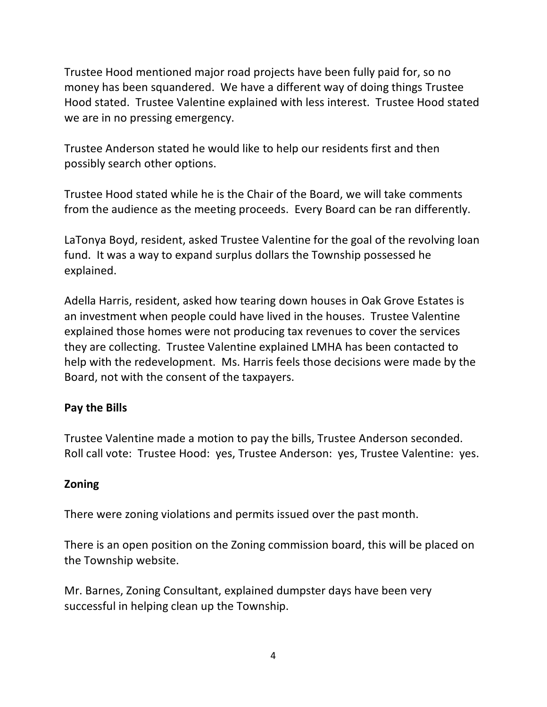Trustee Hood mentioned major road projects have been fully paid for, so no money has been squandered. We have a different way of doing things Trustee Hood stated. Trustee Valentine explained with less interest. Trustee Hood stated we are in no pressing emergency.

Trustee Anderson stated he would like to help our residents first and then possibly search other options.

Trustee Hood stated while he is the Chair of the Board, we will take comments from the audience as the meeting proceeds. Every Board can be ran differently.

LaTonya Boyd, resident, asked Trustee Valentine for the goal of the revolving loan fund. It was a way to expand surplus dollars the Township possessed he explained.

Adella Harris, resident, asked how tearing down houses in Oak Grove Estates is an investment when people could have lived in the houses. Trustee Valentine explained those homes were not producing tax revenues to cover the services they are collecting. Trustee Valentine explained LMHA has been contacted to help with the redevelopment. Ms. Harris feels those decisions were made by the Board, not with the consent of the taxpayers.

# **Pay the Bills**

Trustee Valentine made a motion to pay the bills, Trustee Anderson seconded. Roll call vote: Trustee Hood: yes, Trustee Anderson: yes, Trustee Valentine: yes.

# **Zoning**

There were zoning violations and permits issued over the past month.

There is an open position on the Zoning commission board, this will be placed on the Township website.

Mr. Barnes, Zoning Consultant, explained dumpster days have been very successful in helping clean up the Township.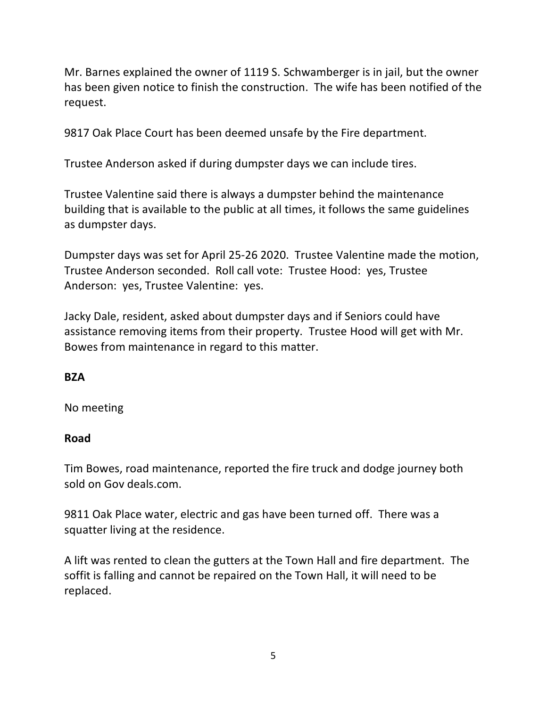Mr. Barnes explained the owner of 1119 S. Schwamberger is in jail, but the owner has been given notice to finish the construction. The wife has been notified of the request.

9817 Oak Place Court has been deemed unsafe by the Fire department.

Trustee Anderson asked if during dumpster days we can include tires.

Trustee Valentine said there is always a dumpster behind the maintenance building that is available to the public at all times, it follows the same guidelines as dumpster days.

Dumpster days was set for April 25-26 2020. Trustee Valentine made the motion, Trustee Anderson seconded. Roll call vote: Trustee Hood: yes, Trustee Anderson: yes, Trustee Valentine: yes.

Jacky Dale, resident, asked about dumpster days and if Seniors could have assistance removing items from their property. Trustee Hood will get with Mr. Bowes from maintenance in regard to this matter.

# **BZA**

No meeting

# **Road**

Tim Bowes, road maintenance, reported the fire truck and dodge journey both sold on Gov deals.com.

9811 Oak Place water, electric and gas have been turned off. There was a squatter living at the residence.

A lift was rented to clean the gutters at the Town Hall and fire department. The soffit is falling and cannot be repaired on the Town Hall, it will need to be replaced.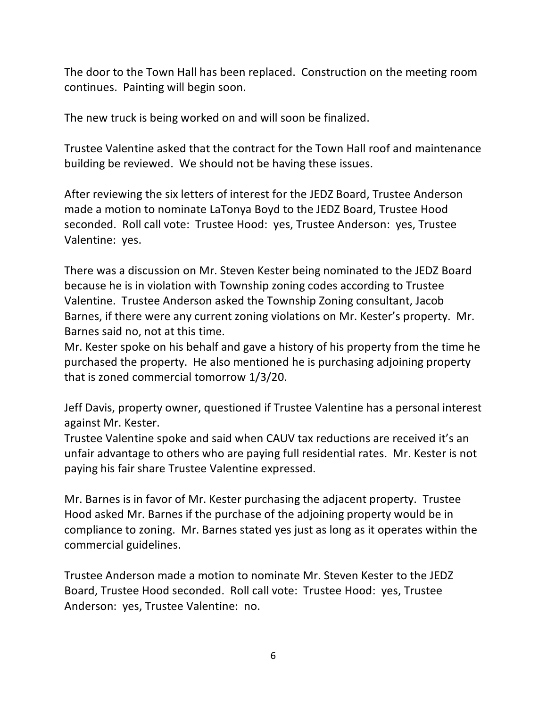The door to the Town Hall has been replaced. Construction on the meeting room continues. Painting will begin soon.

The new truck is being worked on and will soon be finalized.

Trustee Valentine asked that the contract for the Town Hall roof and maintenance building be reviewed. We should not be having these issues.

After reviewing the six letters of interest for the JEDZ Board, Trustee Anderson made a motion to nominate LaTonya Boyd to the JEDZ Board, Trustee Hood seconded. Roll call vote: Trustee Hood: yes, Trustee Anderson: yes, Trustee Valentine: yes.

There was a discussion on Mr. Steven Kester being nominated to the JEDZ Board because he is in violation with Township zoning codes according to Trustee Valentine. Trustee Anderson asked the Township Zoning consultant, Jacob Barnes, if there were any current zoning violations on Mr. Kester's property. Mr. Barnes said no, not at this time.

Mr. Kester spoke on his behalf and gave a history of his property from the time he purchased the property. He also mentioned he is purchasing adjoining property that is zoned commercial tomorrow 1/3/20.

Jeff Davis, property owner, questioned if Trustee Valentine has a personal interest against Mr. Kester.

Trustee Valentine spoke and said when CAUV tax reductions are received it's an unfair advantage to others who are paying full residential rates. Mr. Kester is not paying his fair share Trustee Valentine expressed.

Mr. Barnes is in favor of Mr. Kester purchasing the adjacent property. Trustee Hood asked Mr. Barnes if the purchase of the adjoining property would be in compliance to zoning. Mr. Barnes stated yes just as long as it operates within the commercial guidelines.

Trustee Anderson made a motion to nominate Mr. Steven Kester to the JEDZ Board, Trustee Hood seconded. Roll call vote: Trustee Hood: yes, Trustee Anderson: yes, Trustee Valentine: no.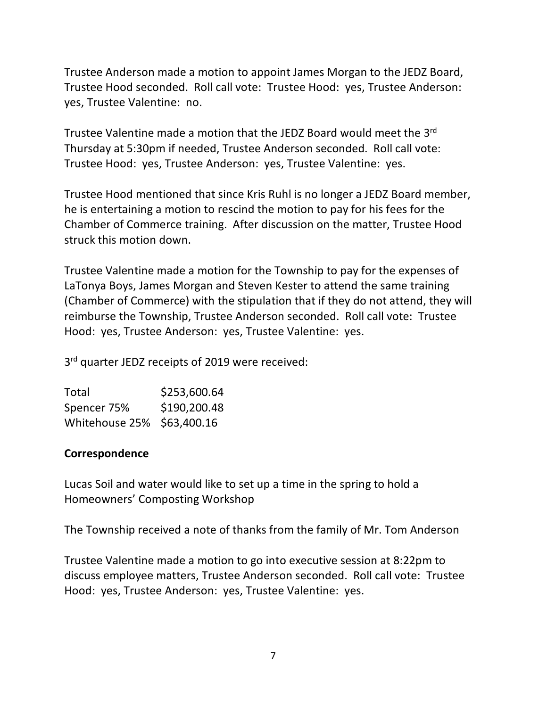Trustee Anderson made a motion to appoint James Morgan to the JEDZ Board, Trustee Hood seconded. Roll call vote: Trustee Hood: yes, Trustee Anderson: yes, Trustee Valentine: no.

Trustee Valentine made a motion that the JEDZ Board would meet the 3rd Thursday at 5:30pm if needed, Trustee Anderson seconded. Roll call vote: Trustee Hood: yes, Trustee Anderson: yes, Trustee Valentine: yes.

Trustee Hood mentioned that since Kris Ruhl is no longer a JEDZ Board member, he is entertaining a motion to rescind the motion to pay for his fees for the Chamber of Commerce training. After discussion on the matter, Trustee Hood struck this motion down.

Trustee Valentine made a motion for the Township to pay for the expenses of LaTonya Boys, James Morgan and Steven Kester to attend the same training (Chamber of Commerce) with the stipulation that if they do not attend, they will reimburse the Township, Trustee Anderson seconded. Roll call vote: Trustee Hood: yes, Trustee Anderson: yes, Trustee Valentine: yes.

3<sup>rd</sup> quarter JEDZ receipts of 2019 were received:

| Total                      | \$253,600.64 |
|----------------------------|--------------|
| Spencer 75%                | \$190,200.48 |
| Whitehouse 25% \$63,400.16 |              |

#### **Correspondence**

Lucas Soil and water would like to set up a time in the spring to hold a Homeowners' Composting Workshop

The Township received a note of thanks from the family of Mr. Tom Anderson

Trustee Valentine made a motion to go into executive session at 8:22pm to discuss employee matters, Trustee Anderson seconded. Roll call vote: Trustee Hood: yes, Trustee Anderson: yes, Trustee Valentine: yes.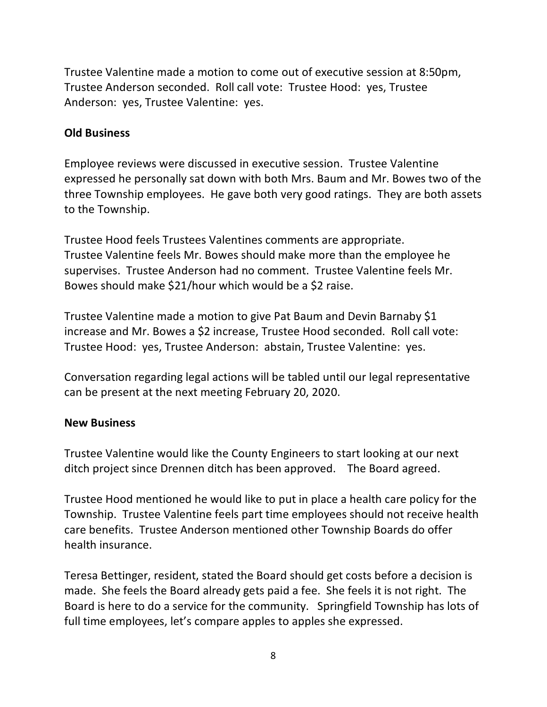Trustee Valentine made a motion to come out of executive session at 8:50pm, Trustee Anderson seconded. Roll call vote: Trustee Hood: yes, Trustee Anderson: yes, Trustee Valentine: yes.

## **Old Business**

Employee reviews were discussed in executive session. Trustee Valentine expressed he personally sat down with both Mrs. Baum and Mr. Bowes two of the three Township employees. He gave both very good ratings. They are both assets to the Township.

Trustee Hood feels Trustees Valentines comments are appropriate. Trustee Valentine feels Mr. Bowes should make more than the employee he supervises. Trustee Anderson had no comment. Trustee Valentine feels Mr. Bowes should make \$21/hour which would be a \$2 raise.

Trustee Valentine made a motion to give Pat Baum and Devin Barnaby \$1 increase and Mr. Bowes a \$2 increase, Trustee Hood seconded. Roll call vote: Trustee Hood: yes, Trustee Anderson: abstain, Trustee Valentine: yes.

Conversation regarding legal actions will be tabled until our legal representative can be present at the next meeting February 20, 2020.

## **New Business**

Trustee Valentine would like the County Engineers to start looking at our next ditch project since Drennen ditch has been approved. The Board agreed.

Trustee Hood mentioned he would like to put in place a health care policy for the Township. Trustee Valentine feels part time employees should not receive health care benefits. Trustee Anderson mentioned other Township Boards do offer health insurance.

Teresa Bettinger, resident, stated the Board should get costs before a decision is made. She feels the Board already gets paid a fee. She feels it is not right. The Board is here to do a service for the community. Springfield Township has lots of full time employees, let's compare apples to apples she expressed.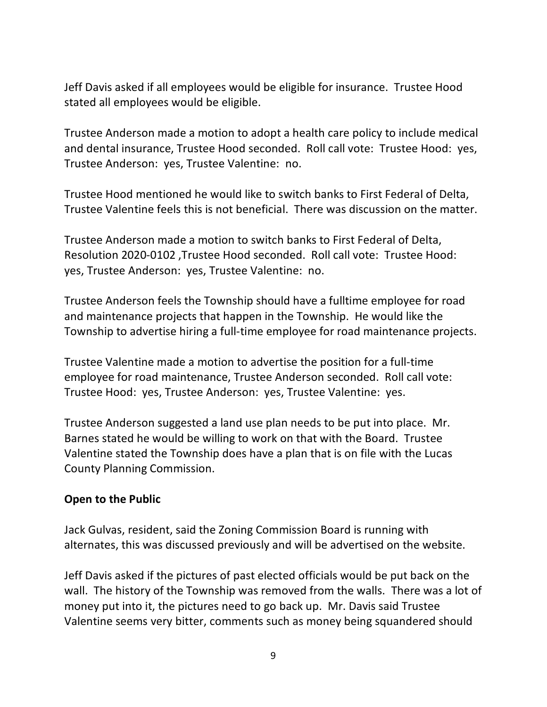Jeff Davis asked if all employees would be eligible for insurance. Trustee Hood stated all employees would be eligible.

Trustee Anderson made a motion to adopt a health care policy to include medical and dental insurance, Trustee Hood seconded. Roll call vote: Trustee Hood: yes, Trustee Anderson: yes, Trustee Valentine: no.

Trustee Hood mentioned he would like to switch banks to First Federal of Delta, Trustee Valentine feels this is not beneficial. There was discussion on the matter.

Trustee Anderson made a motion to switch banks to First Federal of Delta, Resolution 2020-0102 ,Trustee Hood seconded. Roll call vote: Trustee Hood: yes, Trustee Anderson: yes, Trustee Valentine: no.

Trustee Anderson feels the Township should have a fulltime employee for road and maintenance projects that happen in the Township. He would like the Township to advertise hiring a full-time employee for road maintenance projects.

Trustee Valentine made a motion to advertise the position for a full-time employee for road maintenance, Trustee Anderson seconded. Roll call vote: Trustee Hood: yes, Trustee Anderson: yes, Trustee Valentine: yes.

Trustee Anderson suggested a land use plan needs to be put into place. Mr. Barnes stated he would be willing to work on that with the Board. Trustee Valentine stated the Township does have a plan that is on file with the Lucas County Planning Commission.

## **Open to the Public**

Jack Gulvas, resident, said the Zoning Commission Board is running with alternates, this was discussed previously and will be advertised on the website.

Jeff Davis asked if the pictures of past elected officials would be put back on the wall. The history of the Township was removed from the walls. There was a lot of money put into it, the pictures need to go back up. Mr. Davis said Trustee Valentine seems very bitter, comments such as money being squandered should